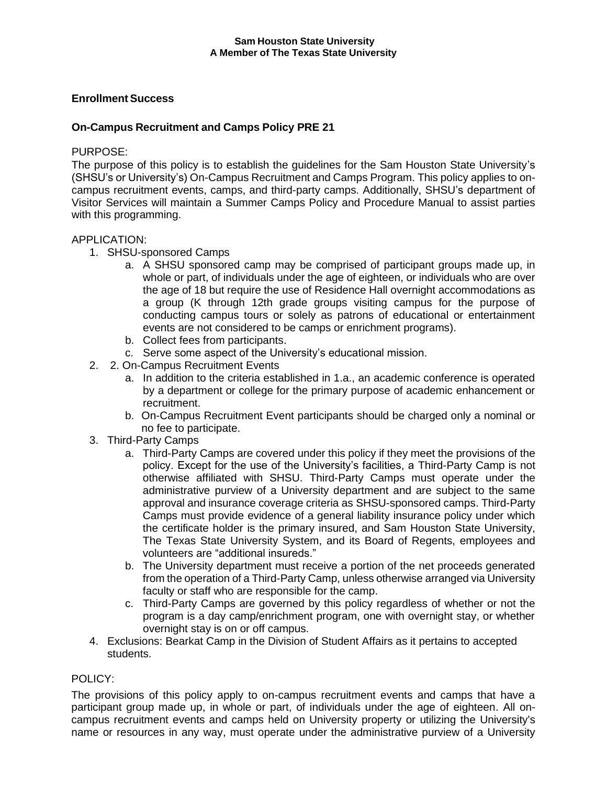# **Enrollment Success**

# **On-Campus Recruitment and Camps Policy PRE 21**

### PURPOSE:

The purpose of this policy is to establish the guidelines for the Sam Houston State University's (SHSU's or University's) On-Campus Recruitment and Camps Program. This policy applies to oncampus recruitment events, camps, and third-party camps. Additionally, SHSU's department of Visitor Services will maintain a Summer Camps Policy and Procedure Manual to assist parties with this programming.

# APPLICATION:

- 1. SHSU-sponsored Camps
	- a. A SHSU sponsored camp may be comprised of participant groups made up, in whole or part, of individuals under the age of eighteen, or individuals who are over the age of 18 but require the use of Residence Hall overnight accommodations as a group (K through 12th grade groups visiting campus for the purpose of conducting campus tours or solely as patrons of educational or entertainment events are not considered to be camps or enrichment programs).
	- b. Collect fees from participants.
	- c. Serve some aspect of the University's educational mission.
- 2. 2. On-Campus Recruitment Events
	- a. In addition to the criteria established in 1.a., an academic conference is operated by a department or college for the primary purpose of academic enhancement or recruitment.
	- b. On-Campus Recruitment Event participants should be charged only a nominal or no fee to participate.
- 3. Third-Party Camps
	- a. Third-Party Camps are covered under this policy if they meet the provisions of the policy. Except for the use of the University's facilities, a Third-Party Camp is not otherwise affiliated with SHSU. Third-Party Camps must operate under the administrative purview of a University department and are subject to the same approval and insurance coverage criteria as SHSU-sponsored camps. Third-Party Camps must provide evidence of a general liability insurance policy under which the certificate holder is the primary insured, and Sam Houston State University, The Texas State University System, and its Board of Regents, employees and volunteers are "additional insureds."
	- b. The University department must receive a portion of the net proceeds generated from the operation of a Third-Party Camp, unless otherwise arranged via University faculty or staff who are responsible for the camp.
	- c. Third-Party Camps are governed by this policy regardless of whether or not the program is a day camp/enrichment program, one with overnight stay, or whether overnight stay is on or off campus.
- 4. Exclusions: Bearkat Camp in the Division of Student Affairs as it pertains to accepted students.

## POLICY:

The provisions of this policy apply to on-campus recruitment events and camps that have a participant group made up, in whole or part, of individuals under the age of eighteen. All oncampus recruitment events and camps held on University property or utilizing the University's name or resources in any way, must operate under the administrative purview of a University